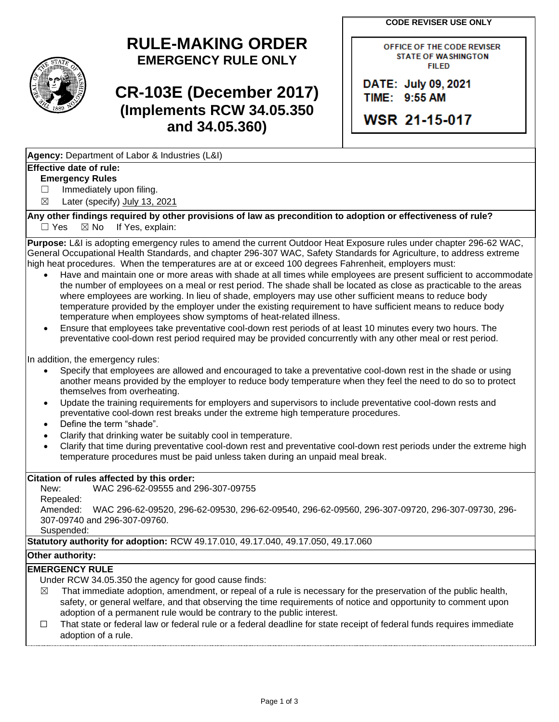**CODE REVISER USE ONLY**

# **RULE-MAKING ORDER EMERGENCY RULE ONLY**

# **CR-103E (December 2017) (Implements RCW 34.05.350 and 34.05.360)**

OFFICE OF THE CODE REVISER **STATE OF WASHINGTON FILED** 

DATE: July 09, 2021 TIME: 9:55 AM

**WSR 21-15-017** 

**Agency:** Department of Labor & Industries (L&I)

## **Effective date of rule:**

### **Emergency Rules**

□ Immediately upon filing.  $\boxtimes$  Later (specify) July 13, 2021

**Any other findings required by other provisions of law as precondition to adoption or effectiveness of rule?**

 $\Box$  Yes  $\boxtimes$  No If Yes, explain:

**Purpose:** L&I is adopting emergency rules to amend the current Outdoor Heat Exposure rules under chapter 296-62 WAC, General Occupational Health Standards, and chapter 296-307 WAC, Safety Standards for Agriculture, to address extreme high heat procedures. When the temperatures are at or exceed 100 degrees Fahrenheit, employers must:

- Have and maintain one or more areas with shade at all times while employees are present sufficient to accommodate the number of employees on a meal or rest period. The shade shall be located as close as practicable to the areas where employees are working. In lieu of shade, employers may use other sufficient means to reduce body temperature provided by the employer under the existing requirement to have sufficient means to reduce body temperature when employees show symptoms of heat-related illness.
- Ensure that employees take preventative cool-down rest periods of at least 10 minutes every two hours. The preventative cool-down rest period required may be provided concurrently with any other meal or rest period.

In addition, the emergency rules:

- Specify that employees are allowed and encouraged to take a preventative cool-down rest in the shade or using another means provided by the employer to reduce body temperature when they feel the need to do so to protect themselves from overheating.
- Update the training requirements for employers and supervisors to include preventative cool-down rests and preventative cool-down rest breaks under the extreme high temperature procedures.
- Define the term "shade".
- Clarify that drinking water be suitably cool in temperature.
- Clarify that time during preventative cool-down rest and preventative cool-down rest periods under the extreme high temperature procedures must be paid unless taken during an unpaid meal break.

#### **Citation of rules affected by this order:**

New: WAC 296-62-09555 and 296-307-09755 Repealed: Amended: WAC 296-62-09520, 296-62-09530, 296-62-09540, 296-62-09560, 296-307-09720, 296-307-09730, 296- 307-09740 and 296-307-09760. Suspended:

**Statutory authority for adoption:** RCW 49.17.010, 49.17.040, 49.17.050, 49.17.060

#### **Other authority:**

### **EMERGENCY RULE**

Under RCW 34.05.350 the agency for good cause finds:

- $\boxtimes$  That immediate adoption, amendment, or repeal of a rule is necessary for the preservation of the public health, safety, or general welfare, and that observing the time requirements of notice and opportunity to comment upon adoption of a permanent rule would be contrary to the public interest.
- $\square$  That state or federal law or federal rule or a federal deadline for state receipt of federal funds requires immediate adoption of a rule.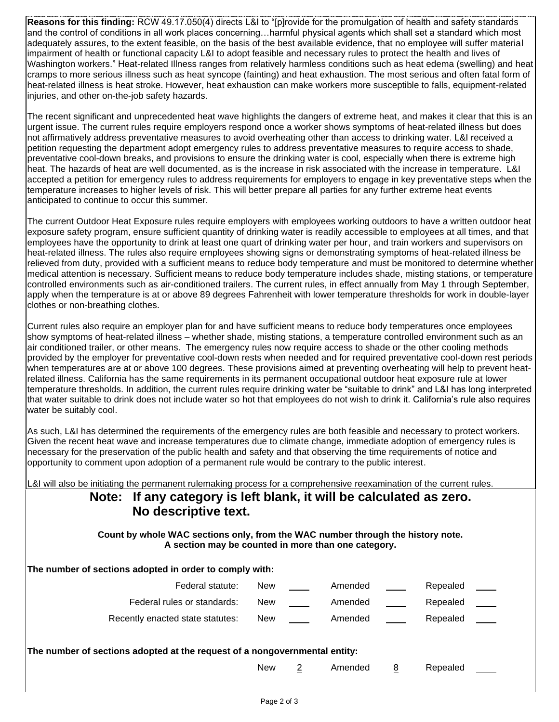**Reasons for this finding:** RCW 49.17.050(4) directs L&I to "[p]rovide for the promulgation of health and safety standards and the control of conditions in all work places concerning…harmful physical agents which shall set a standard which most adequately assures, to the extent feasible, on the basis of the best available evidence, that no employee will suffer material impairment of health or functional capacity L&I to adopt feasible and necessary rules to protect the health and lives of Washington workers." Heat-related Illness ranges from relatively harmless conditions such as heat edema (swelling) and heat cramps to more serious illness such as heat syncope (fainting) and heat exhaustion. The most serious and often fatal form of heat-related illness is heat stroke. However, heat exhaustion can make workers more susceptible to falls, equipment-related injuries, and other on-the-job safety hazards.

The recent significant and unprecedented heat wave highlights the dangers of extreme heat, and makes it clear that this is an urgent issue. The current rules require employers respond once a worker shows symptoms of heat-related illness but does not affirmatively address preventative measures to avoid overheating other than access to drinking water. L&I received a petition requesting the department adopt emergency rules to address preventative measures to require access to shade, preventative cool-down breaks, and provisions to ensure the drinking water is cool, especially when there is extreme high heat. The hazards of heat are well documented, as is the increase in risk associated with the increase in temperature. L&I accepted a petition for emergency rules to address requirements for employers to engage in key preventative steps when the temperature increases to higher levels of risk. This will better prepare all parties for any further extreme heat events anticipated to continue to occur this summer.

The current Outdoor Heat Exposure rules require employers with employees working outdoors to have a written outdoor heat exposure safety program, ensure sufficient quantity of drinking water is readily accessible to employees at all times, and that employees have the opportunity to drink at least one quart of drinking water per hour, and train workers and supervisors on heat-related illness. The rules also require employees showing signs or demonstrating symptoms of heat-related illness be relieved from duty, provided with a sufficient means to reduce body temperature and must be monitored to determine whether medical attention is necessary. Sufficient means to reduce body temperature includes shade, misting stations, or temperature controlled environments such as air-conditioned trailers. The current rules, in effect annually from May 1 through September, apply when the temperature is at or above 89 degrees Fahrenheit with lower temperature thresholds for work in double-layer clothes or non-breathing clothes.

Current rules also require an employer plan for and have sufficient means to reduce body temperatures once employees show symptoms of heat-related illness – whether shade, misting stations, a temperature controlled environment such as an air conditioned trailer, or other means. The emergency rules now require access to shade or the other cooling methods provided by the employer for preventative cool-down rests when needed and for required preventative cool-down rest periods when temperatures are at or above 100 degrees. These provisions aimed at preventing overheating will help to prevent heatrelated illness. California has the same requirements in its permanent occupational outdoor heat exposure rule at lower temperature thresholds. In addition, the current rules require drinking water be "suitable to drink" and L&I has long interpreted that water suitable to drink does not include water so hot that employees do not wish to drink it. California's rule also requires water be suitably cool.

As such, L&I has determined the requirements of the emergency rules are both feasible and necessary to protect workers. Given the recent heat wave and increase temperatures due to climate change, immediate adoption of emergency rules is necessary for the preservation of the public health and safety and that observing the time requirements of notice and opportunity to comment upon adoption of a permanent rule would be contrary to the public interest.

L&I will also be initiating the permanent rulemaking process for a comprehensive reexamination of the current rules.

# **Note: If any category is left blank, it will be calculated as zero. No descriptive text.**

**Count by whole WAC sections only, from the WAC number through the history note. A section may be counted in more than one category.**

| The number of sections adopted in order to comply with: |            |         |          |  |
|---------------------------------------------------------|------------|---------|----------|--|
| Federal statute:                                        | <b>New</b> | Amended | Repealed |  |
| Federal rules or standards:                             | <b>New</b> | Amended | Repealed |  |
| Recently enacted state statutes:                        | <b>New</b> | Amended | Repealed |  |
|                                                         |            |         |          |  |

| The number of sections adopted at the request of a nongovernmental entity: |  |
|----------------------------------------------------------------------------|--|
|----------------------------------------------------------------------------|--|

New 2 Amended 8 Repealed